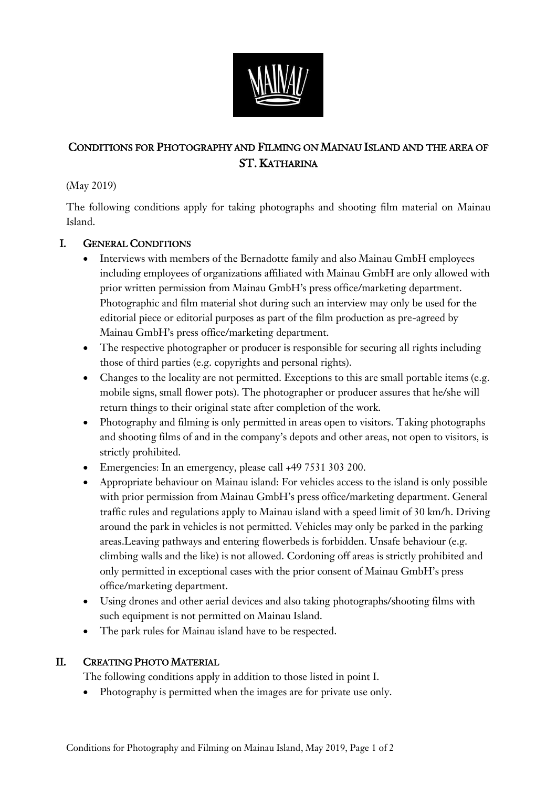

## CONDITIONS FOR PHOTOGRAPHY AND FILMING ON MAINAU ISLAND AND THE AREA OF ST. KATHARINA

(May 2019)

The following conditions apply for taking photographs and shooting film material on Mainau Island.

## I. GENERAL CONDITIONS

- Interviews with members of the Bernadotte family and also Mainau GmbH employees including employees of organizations affiliated with Mainau GmbH are only allowed with prior written permission from Mainau GmbH's press office/marketing department. Photographic and film material shot during such an interview may only be used for the editorial piece or editorial purposes as part of the film production as pre-agreed by Mainau GmbH's press office/marketing department.
- The respective photographer or producer is responsible for securing all rights including those of third parties (e.g. copyrights and personal rights).
- Changes to the locality are not permitted. Exceptions to this are small portable items (e.g. mobile signs, small flower pots). The photographer or producer assures that he/she will return things to their original state after completion of the work.
- Photography and filming is only permitted in areas open to visitors. Taking photographs and shooting films of and in the company's depots and other areas, not open to visitors, is strictly prohibited.
- Emergencies: In an emergency, please call +49 7531 303 200.
- Appropriate behaviour on Mainau island: For vehicles access to the island is only possible with prior permission from Mainau GmbH's press office/marketing department. General traffic rules and regulations apply to Mainau island with a speed limit of 30 km/h. Driving around the park in vehicles is not permitted. Vehicles may only be parked in the parking areas.Leaving pathways and entering flowerbeds is forbidden. Unsafe behaviour (e.g. climbing walls and the like) is not allowed. Cordoning off areas is strictly prohibited and only permitted in exceptional cases with the prior consent of Mainau GmbH's press office/marketing department.
- Using drones and other aerial devices and also taking photographs/shooting films with such equipment is not permitted on Mainau Island.
- The park rules for Mainau island have to be respected.

## II. CREATING PHOTO MATERIAL

The following conditions apply in addition to those listed in point I.

• Photography is permitted when the images are for private use only.